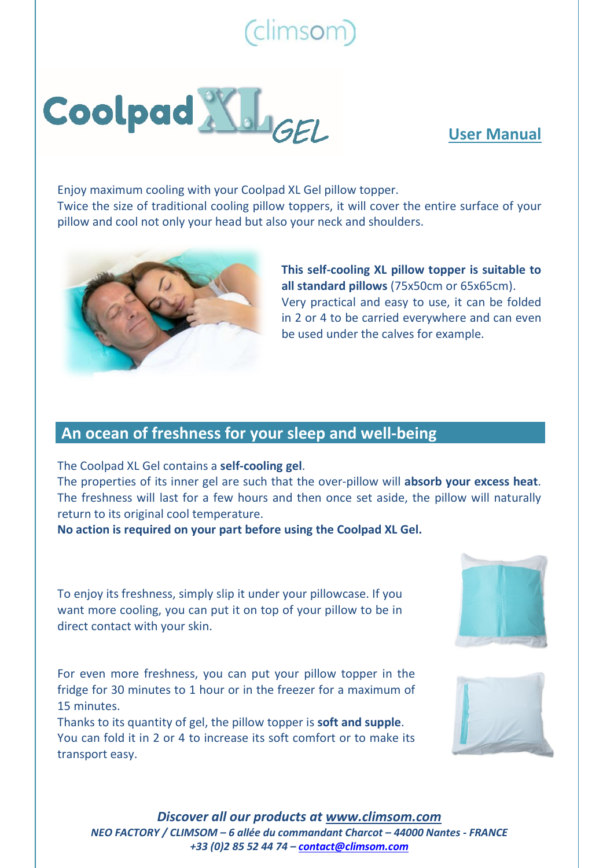# (climsom)



### **User Manual**

Enjoy maximum cooling with your Coolpad XL Gel pillow topper. Twice the size of traditional cooling pillow toppers, it will cover the entire surface of your pillow and cool not only your head but also your neck and shoulders.



**This self-cooling XL pillow topper is suitable to all standard pillows** (75x50cm or 65x65cm). Very practical and easy to use, it can be folded in 2 or 4 to be carried everywhere and can even be used under the calves for example.

### **An ocean of freshness for your sleep and well-being**

The Coolpad XL Gel contains a **self-cooling gel**.

The properties of its inner gel are such that the over-pillow will **absorb your excess heat**. The freshness will last for a few hours and then once set aside, the pillow will naturally return to its original cool temperature.

**No action is required on your part before using the Coolpad XL Gel.**

To enjoy its freshness, simply slip it under your pillowcase. If you want more cooling, you can put it on top of your pillow to be in direct contact with your skin.

For even more freshness, you can put your pillow topper in the fridge for 30 minutes to 1 hour or in the freezer for a maximum of 15 minutes.

Thanks to its quantity of gel, the pillow topper is **soft and supple**. You can fold it in 2 or 4 to increase its soft comfort or to make its transport easy.





*Discover all our products at [www.climsom.com](http://www.climsom.com/) NEO FACTORY / CLIMSOM – 6 allée du commandant Charcot – 44000 Nantes - FRANCE +33 (0)2 85 52 44 74 – [contact@climsom.com](mailto:contact@climsom.com)*